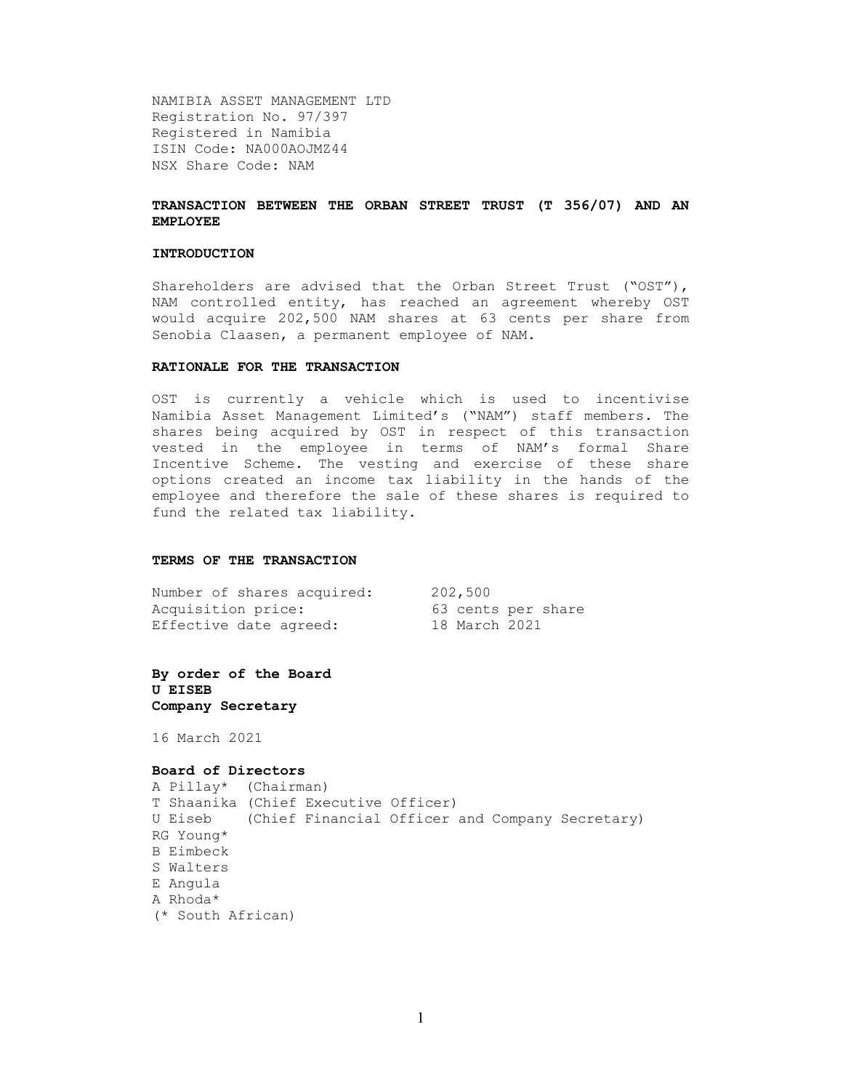NAMIBIA ASSET MANAGEMENT LTD Registration No. 97/397 Registered in Namibia ISIN Code: NA000AOJMZ44 NSX Share Code: NAM

### TRANSACTION BETWEEN THE ORBAN STREET TRUST (T 356/07) AND AN EMPLOYEE

#### INTRODUCTION

Shareholders are advised that the Orban Street Trust ("OST"), NAM controlled entity, has reached an agreement whereby OST would acquire 202,500 NAM shares at 63 cents per share from Senobia Claasen, a permanent employee of NAM.

#### RATIONALE FOR THE TRANSACTION

OST is currently a vehicle which is used to incentivise Namibia Asset Management Limited's ("NAM") staff members. The shares being acquired by OST in respect of this transaction vested in the employee in terms of NAM's formal Share Incentive Scheme. The vesting and exercise of these share options created an income tax liability in the hands of the employee and therefore the sale of these shares is required to fund the related tax liability.

### TERMS OF THE TRANSACTION

| Number of shares acquired: | 202,500            |
|----------------------------|--------------------|
| Acquisition price:         | 63 cents per share |
| Effective date agreed:     | 18 March 2021      |

By order of the Board U EISEB Company Secretary

16 March 2021

### Board of Directors

```
A Pillay* (Chairman) 
T Shaanika (Chief Executive Officer) 
U Eiseb (Chief Financial Officer and Company Secretary) 
RG Young* 
B Eimbeck 
S Walters 
E Angula 
A Rhoda* 
(* South African)
```